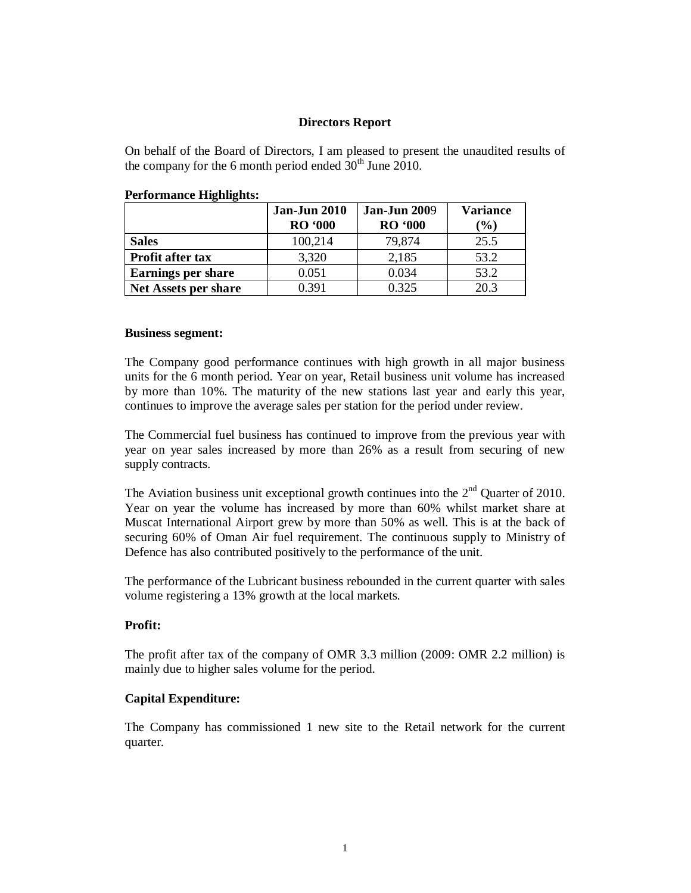### **Directors Report**

On behalf of the Board of Directors, I am pleased to present the unaudited results of the company for the 6 month period ended  $30<sup>th</sup>$  June 2010.

|                             | <b>Jan-Jun 2010</b><br><b>RO</b> '000 | <b>Jan-Jun 2009</b><br><b>RO</b> '000 | <b>Variance</b><br>$(\%)$ |
|-----------------------------|---------------------------------------|---------------------------------------|---------------------------|
| <b>Sales</b>                | 100,214                               | 79,874                                | 25.5                      |
| Profit after tax            | 3,320                                 | 2,185                                 | 53.2                      |
| <b>Earnings per share</b>   | 0.051                                 | 0.034                                 | 53.2                      |
| <b>Net Assets per share</b> | 0.391                                 | 0.325                                 | 20.3                      |

#### **Performance Highlights:**

#### **Business segment:**

The Company good performance continues with high growth in all major business units for the 6 month period. Year on year, Retail business unit volume has increased by more than 10%. The maturity of the new stations last year and early this year, continues to improve the average sales per station for the period under review.

The Commercial fuel business has continued to improve from the previous year with year on year sales increased by more than 26% as a result from securing of new supply contracts.

The Aviation business unit exceptional growth continues into the  $2<sup>nd</sup>$  Quarter of 2010. Year on year the volume has increased by more than 60% whilst market share at Muscat International Airport grew by more than 50% as well. This is at the back of securing 60% of Oman Air fuel requirement. The continuous supply to Ministry of Defence has also contributed positively to the performance of the unit.

The performance of the Lubricant business rebounded in the current quarter with sales volume registering a 13% growth at the local markets.

## **Profit:**

The profit after tax of the company of OMR 3.3 million (2009: OMR 2.2 million) is mainly due to higher sales volume for the period.

#### **Capital Expenditure:**

The Company has commissioned 1 new site to the Retail network for the current quarter.